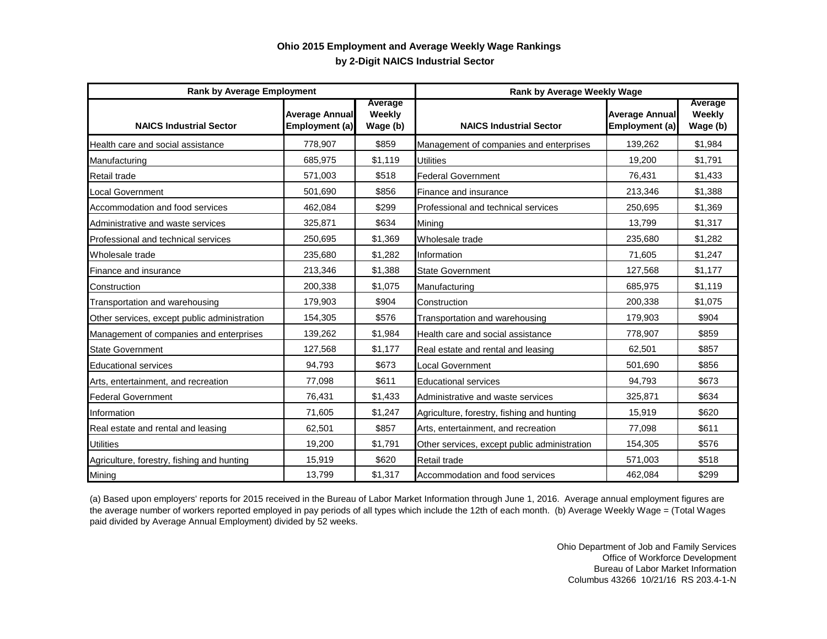## **by 2-Digit NAICS Industrial Sector Ohio 2015 Employment and Average Weekly Wage Rankings**

| <b>Rank by Average Employment</b>            |                                         |                               | Rank by Average Weekly Wage                  |                                         |                               |
|----------------------------------------------|-----------------------------------------|-------------------------------|----------------------------------------------|-----------------------------------------|-------------------------------|
| <b>NAICS Industrial Sector</b>               | <b>Average Annual</b><br>Employment (a) | Average<br>Weekly<br>Wage (b) | <b>NAICS Industrial Sector</b>               | <b>Average Annual</b><br>Employment (a) | Average<br>Weekly<br>Wage (b) |
| Health care and social assistance            | 778,907                                 | \$859                         | Management of companies and enterprises      | 139,262                                 | \$1,984                       |
| Manufacturing                                | 685,975                                 | \$1,119                       | <b>Utilities</b>                             | 19,200                                  | \$1,791                       |
| Retail trade                                 | 571,003                                 | \$518                         | <b>Federal Government</b>                    | 76,431                                  | \$1,433                       |
| <b>Local Government</b>                      | 501,690                                 | \$856                         | Finance and insurance                        | 213,346                                 | \$1,388                       |
| Accommodation and food services              | 462,084                                 | \$299                         | Professional and technical services          | 250,695                                 | \$1,369                       |
| Administrative and waste services            | 325,871                                 | \$634                         | Minina                                       | 13,799                                  | \$1,317                       |
| Professional and technical services          | 250,695                                 | \$1,369                       | Wholesale trade                              | 235,680                                 | \$1,282                       |
| Wholesale trade                              | 235,680                                 | \$1,282                       | Information                                  | 71,605                                  | \$1,247                       |
| Finance and insurance                        | 213,346                                 | \$1,388                       | <b>State Government</b>                      | 127,568                                 | \$1,177                       |
| Construction                                 | 200,338                                 | \$1,075                       | Manufacturing                                | 685.975                                 | \$1,119                       |
| Transportation and warehousing               | 179,903                                 | \$904                         | Construction                                 | 200,338                                 | \$1,075                       |
| Other services, except public administration | 154,305                                 | \$576                         | Transportation and warehousing               | 179,903                                 | \$904                         |
| Management of companies and enterprises      | 139,262                                 | \$1,984                       | Health care and social assistance            | 778,907                                 | \$859                         |
| <b>State Government</b>                      | 127,568                                 | \$1,177                       | Real estate and rental and leasing           | 62,501                                  | \$857                         |
| <b>Educational services</b>                  | 94.793                                  | \$673                         | Local Government                             | 501.690                                 | \$856                         |
| Arts, entertainment, and recreation          | 77.098                                  | \$611                         | <b>Educational services</b>                  | 94.793                                  | \$673                         |
| <b>Federal Government</b>                    | 76,431                                  | \$1,433                       | Administrative and waste services            | 325,871                                 | \$634                         |
| Information                                  | 71,605                                  | \$1,247                       | Agriculture, forestry, fishing and hunting   | 15,919                                  | \$620                         |
| Real estate and rental and leasing           | 62,501                                  | \$857                         | Arts, entertainment, and recreation          | 77,098                                  | \$611                         |
| <b>Utilities</b>                             | 19,200                                  | \$1,791                       | Other services, except public administration | 154,305                                 | \$576                         |
| Agriculture, forestry, fishing and hunting   | 15,919                                  | \$620                         | Retail trade                                 | 571,003                                 | \$518                         |
| Mining                                       | 13,799                                  | \$1,317                       | Accommodation and food services              | 462,084                                 | \$299                         |

(a) Based upon employers' reports for 2015 received in the Bureau of Labor Market Information through June 1, 2016. Average annual employment figures are the average number of workers reported employed in pay periods of all types which include the 12th of each month. (b) Average Weekly Wage = (Total Wages paid divided by Average Annual Employment) divided by 52 weeks.

> Ohio Department of Job and Family Services Office of Workforce Development Bureau of Labor Market Information Columbus 43266 10/21/16 RS 203.4-1-N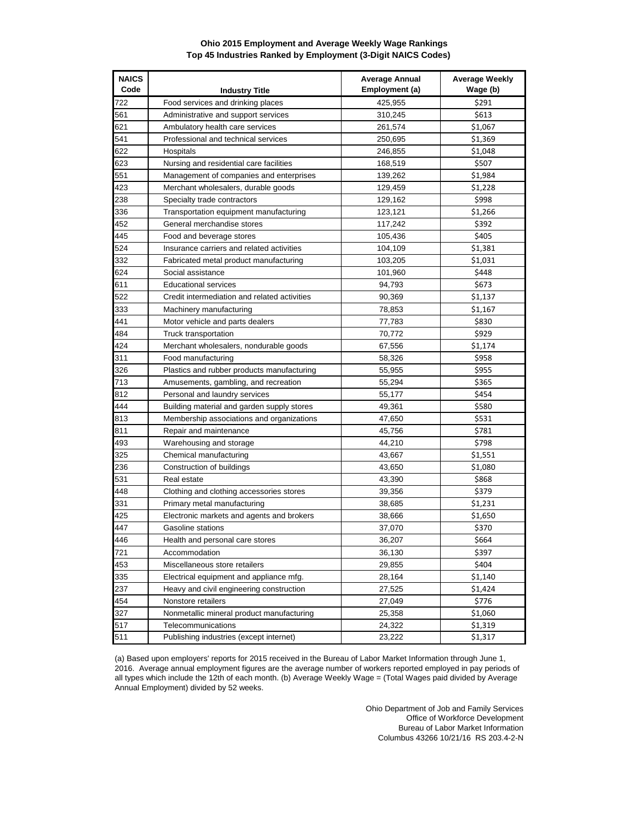## **Ohio 2015 Employment and Average Weekly Wage Rankings Top 45 Industries Ranked by Employment (3-Digit NAICS Codes)**

| <b>NAICS</b><br>Code | <b>Industry Title</b>                        | <b>Average Annual</b><br>Employment (a) | <b>Average Weekly</b><br>Wage (b) |
|----------------------|----------------------------------------------|-----------------------------------------|-----------------------------------|
| 722                  | Food services and drinking places            | 425,955                                 | \$291                             |
| 561                  | Administrative and support services          | 310,245                                 | \$613                             |
| 621                  | Ambulatory health care services              | 261,574                                 | \$1,067                           |
| 541                  | Professional and technical services          | 250,695                                 | \$1,369                           |
| 622                  | Hospitals                                    | 246,855                                 | \$1,048                           |
| 623                  | Nursing and residential care facilities      | 168,519                                 | \$507                             |
| 551                  | Management of companies and enterprises      | 139,262                                 | \$1,984                           |
| 423                  | Merchant wholesalers, durable goods          | 129,459                                 | \$1,228                           |
| 238                  | Specialty trade contractors                  | 129,162                                 | \$998                             |
| 336                  | Transportation equipment manufacturing       | 123,121                                 | \$1,266                           |
| 452                  | General merchandise stores                   | 117,242                                 | \$392                             |
| 445                  | Food and beverage stores                     | 105,436                                 | \$405                             |
| 524                  | Insurance carriers and related activities    | 104,109                                 | \$1,381                           |
| 332                  | Fabricated metal product manufacturing       | 103,205                                 | \$1,031                           |
| 624                  | Social assistance                            | 101,960                                 | \$448                             |
| 611                  | <b>Educational services</b>                  | 94,793                                  | \$673                             |
| 522                  | Credit intermediation and related activities | 90,369                                  | \$1,137                           |
| 333                  | Machinery manufacturing                      | 78,853                                  | \$1,167                           |
| 441                  | Motor vehicle and parts dealers              | 77,783                                  | \$830                             |
| 484                  | Truck transportation                         | 70,772                                  | \$929                             |
| 424                  | Merchant wholesalers, nondurable goods       | 67,556                                  | \$1,174                           |
| 311                  | Food manufacturing                           | 58,326                                  | \$958                             |
| 326                  | Plastics and rubber products manufacturing   | 55,955                                  | \$955                             |
| 713                  | Amusements, gambling, and recreation         | 55,294                                  | \$365                             |
| 812                  | Personal and laundry services                | 55,177                                  | \$454                             |
| 444                  | Building material and garden supply stores   | 49,361                                  | \$580                             |
| 813                  | Membership associations and organizations    | 47,650                                  | \$531                             |
| 811                  | Repair and maintenance                       | 45,756                                  | \$781                             |
| 493                  | Warehousing and storage                      | 44,210                                  | \$798                             |
| 325                  | Chemical manufacturing                       | 43,667                                  | \$1,551                           |
| 236                  | Construction of buildings                    | 43,650                                  | \$1,080                           |
| 531                  | Real estate                                  | 43,390                                  | \$868                             |
| 448                  | Clothing and clothing accessories stores     | 39,356                                  | \$379                             |
| 331                  | Primary metal manufacturing                  | 38,685                                  | \$1,231                           |
| 425                  | Electronic markets and agents and brokers    | 38,666                                  | \$1,650                           |
| 447                  | Gasoline stations                            | 37,070                                  | \$370                             |
| 446                  | Health and personal care stores              | 36,207                                  | \$664                             |
| 721                  | Accommodation                                | 36,130                                  | \$397                             |
| 453                  | Miscellaneous store retailers                | 29,855                                  | \$404                             |
| 335                  | Electrical equipment and appliance mfg.      | 28,164                                  | \$1,140                           |
| 237                  | Heavy and civil engineering construction     | 27,525                                  | \$1,424                           |
| 454                  | Nonstore retailers                           | 27,049                                  | \$776                             |
| 327                  | Nonmetallic mineral product manufacturing    | 25,358                                  | \$1,060                           |
| 517                  | Telecommunications                           | 24,322                                  | \$1,319                           |
| 511                  | Publishing industries (except internet)      | 23,222                                  | \$1,317                           |

(a) Based upon employers' reports for 2015 received in the Bureau of Labor Market Information through June 1, 2016. Average annual employment figures are the average number of workers reported employed in pay periods of all types which include the 12th of each month. (b) Average Weekly Wage = (Total Wages paid divided by Average Annual Employment) divided by 52 weeks.

> Ohio Department of Job and Family Services Office of Workforce Development Bureau of Labor Market Information Columbus 43266 10/21/16 RS 203.4-2-N